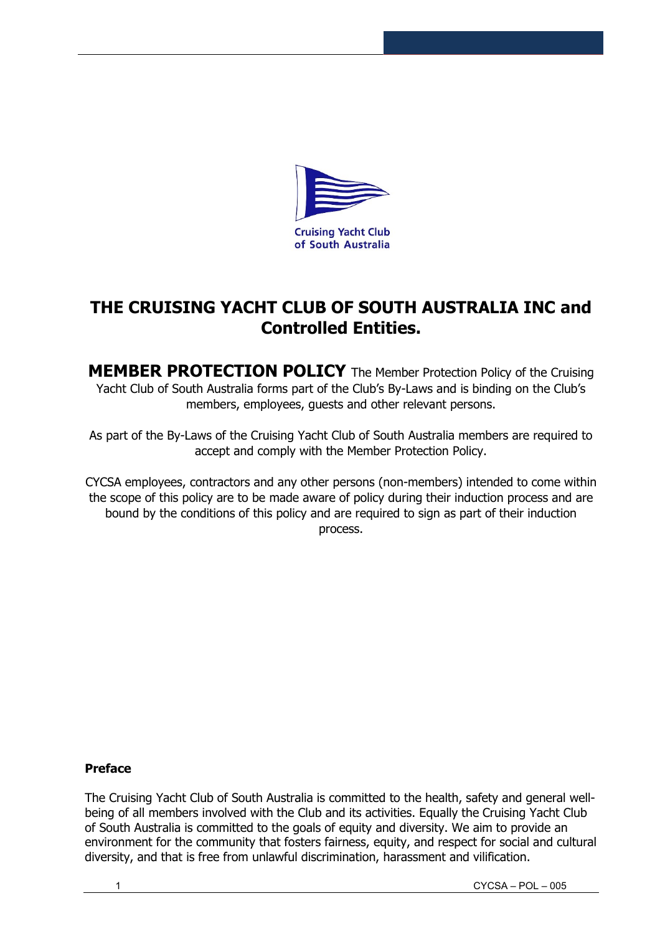

# **THE CRUISING YACHT CLUB OF SOUTH AUSTRALIA INC and Controlled Entities.**

**MEMBER PROTECTION POLICY** The Member Protection Policy of the Cruising Yacht Club of South Australia forms part of the Club's By-Laws and is binding on the Club's members, employees, guests and other relevant persons.

As part of the By-Laws of the Cruising Yacht Club of South Australia members are required to accept and comply with the Member Protection Policy.

CYCSA employees, contractors and any other persons (non-members) intended to come within the scope of this policy are to be made aware of policy during their induction process and are bound by the conditions of this policy and are required to sign as part of their induction process.

## **Preface**

The Cruising Yacht Club of South Australia is committed to the health, safety and general wellbeing of all members involved with the Club and its activities. Equally the Cruising Yacht Club of South Australia is committed to the goals of equity and diversity. We aim to provide an environment for the community that fosters fairness, equity, and respect for social and cultural diversity, and that is free from unlawful discrimination, harassment and vilification.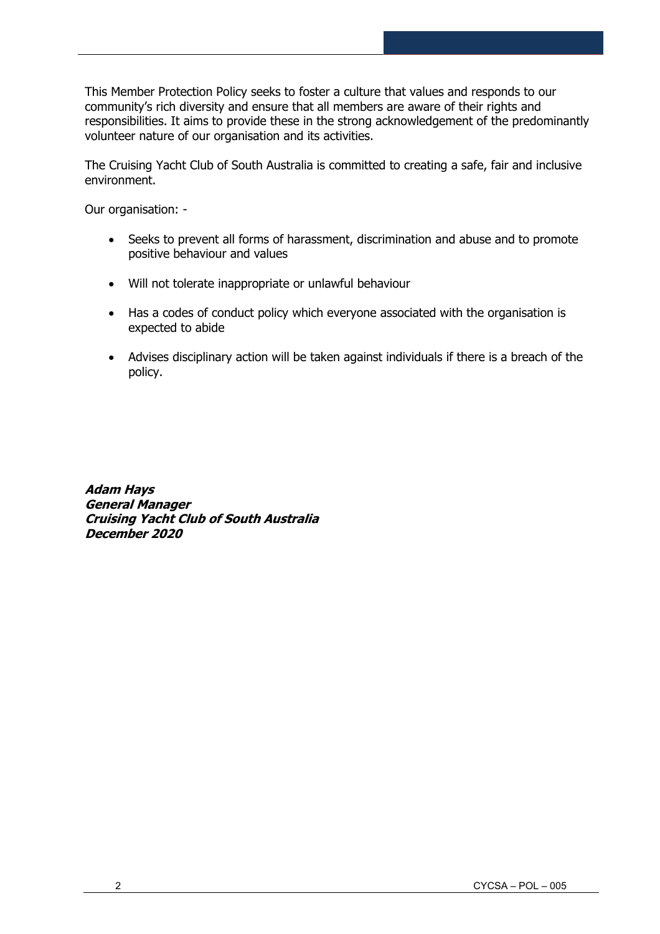This Member Protection Policy seeks to foster a culture that values and responds to our community's rich diversity and ensure that all members are aware of their rights and responsibilities. It aims to provide these in the strong acknowledgement of the predominantly volunteer nature of our organisation and its activities.

The Cruising Yacht Club of South Australia is committed to creating a safe, fair and inclusive environment.

Our organisation: -

- Seeks to prevent all forms of harassment, discrimination and abuse and to promote positive behaviour and values
- Will not tolerate inappropriate or unlawful behaviour
- Has a codes of conduct policy which everyone associated with the organisation is expected to abide
- Advises disciplinary action will be taken against individuals if there is a breach of the policy.

**Adam Hays General Manager Cruising Yacht Club of South Australia December 2020**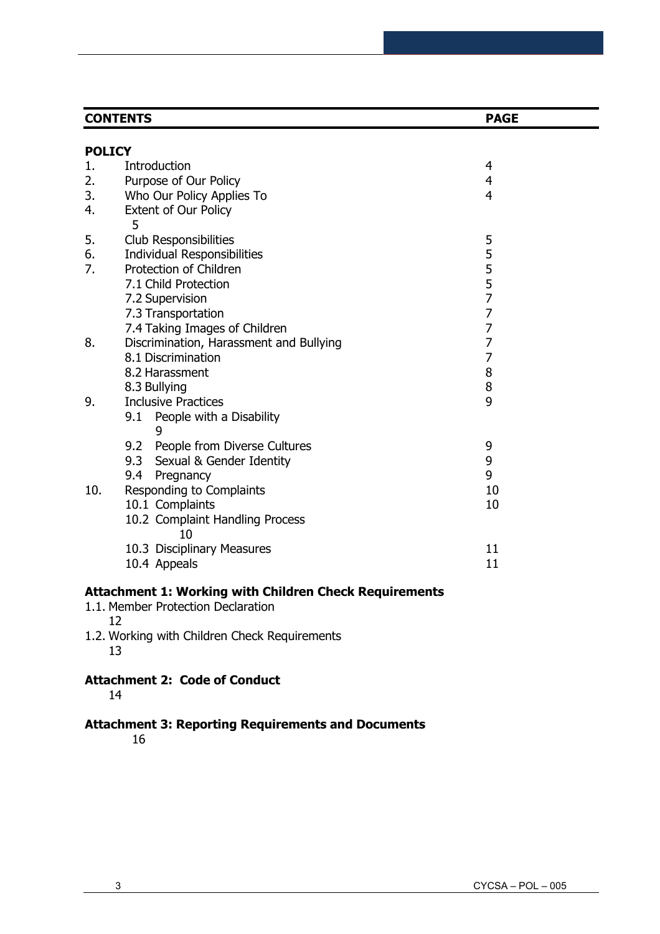|               | <b>CONTENTS</b><br><b>PAGE</b>          |                |
|---------------|-----------------------------------------|----------------|
| <b>POLICY</b> |                                         |                |
| 1.            | Introduction                            | 4              |
| 2.            |                                         | 4              |
| 3.            | Purpose of Our Policy                   | $\overline{4}$ |
|               | Who Our Policy Applies To               |                |
| 4.            | Extent of Our Policy<br>5               |                |
| 5.            | Club Responsibilities                   | 5              |
| 6.            | <b>Individual Responsibilities</b>      |                |
| 7.            | Protection of Children                  |                |
|               | 7.1 Child Protection                    | 5<br>5<br>5    |
|               | 7.2 Supervision                         | $\overline{7}$ |
|               | 7.3 Transportation                      | 7              |
|               | 7.4 Taking Images of Children           | $\overline{7}$ |
| 8.            | Discrimination, Harassment and Bullying | $\overline{7}$ |
|               | 8.1 Discrimination                      | $\overline{7}$ |
|               | 8.2 Harassment                          | 8              |
|               | 8.3 Bullying                            | 8              |
| 9.            | <b>Inclusive Practices</b>              | 9              |
|               | 9.1 People with a Disability            |                |
|               | 9.2 People from Diverse Cultures        | 9              |
|               | 9.3 Sexual & Gender Identity            | 9              |
|               | 9.4<br>Pregnancy                        | 9              |
| 10.           | Responding to Complaints                | 10             |
|               | 10.1 Complaints                         | 10             |
|               | 10.2 Complaint Handling Process<br>10   |                |
|               | 10.3 Disciplinary Measures              | 11             |
|               | 10.4 Appeals                            | 11             |
|               |                                         |                |

## **Attachment 1: Working with Children Check Requirements**

- 1.1. Member Protection Declaration 12
- 1.2. Working with Children Check Requirements 13

# **Attachment 2: Code of Conduct**

14

## **Attachment 3: Reporting Requirements and Documents**

16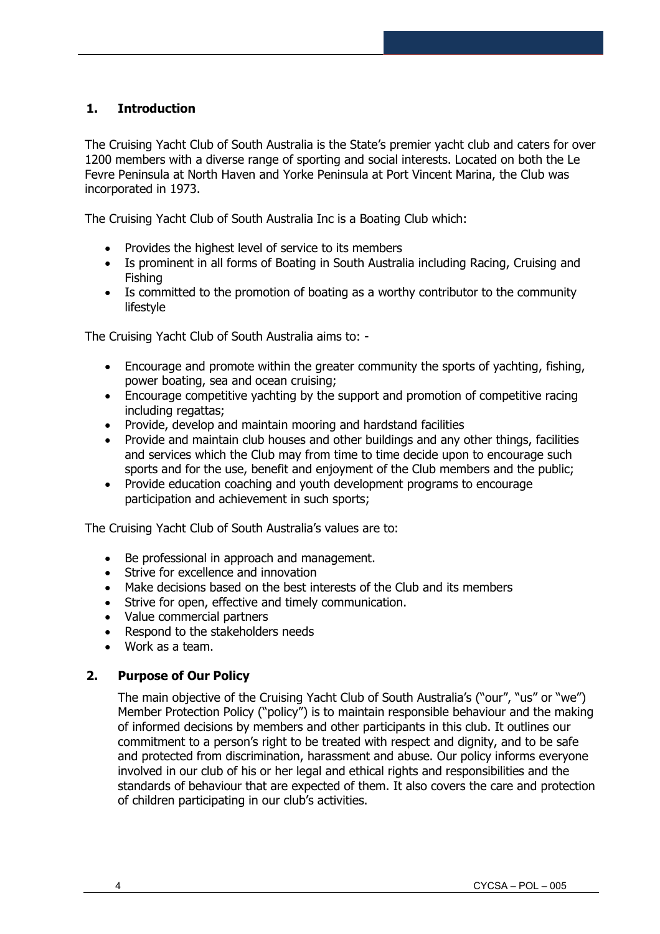## **1. Introduction**

The Cruising Yacht Club of South Australia is the State's premier yacht club and caters for over 1200 members with a diverse range of sporting and social interests. Located on both the Le Fevre Peninsula at North Haven and Yorke Peninsula at Port Vincent Marina, the Club was incorporated in 1973.

The Cruising Yacht Club of South Australia Inc is a Boating Club which:

- Provides the highest level of service to its members
- Is prominent in all forms of Boating in South Australia including Racing, Cruising and Fishing
- Is committed to the promotion of boating as a worthy contributor to the community lifestyle

The Cruising Yacht Club of South Australia aims to: -

- Encourage and promote within the greater community the sports of yachting, fishing, power boating, sea and ocean cruising;
- Encourage competitive yachting by the support and promotion of competitive racing including regattas;
- Provide, develop and maintain mooring and hardstand facilities
- Provide and maintain club houses and other buildings and any other things, facilities and services which the Club may from time to time decide upon to encourage such sports and for the use, benefit and enjoyment of the Club members and the public;
- Provide education coaching and youth development programs to encourage participation and achievement in such sports;

The Cruising Yacht Club of South Australia's values are to:

- Be professional in approach and management.
- Strive for excellence and innovation
- Make decisions based on the best interests of the Club and its members
- Strive for open, effective and timely communication.
- Value commercial partners
- Respond to the stakeholders needs
- Work as a team.

#### **2. Purpose of Our Policy**

The main objective of the Cruising Yacht Club of South Australia's ("our", "us" or "we") Member Protection Policy ("policy") is to maintain responsible behaviour and the making of informed decisions by members and other participants in this club. It outlines our commitment to a person's right to be treated with respect and dignity, and to be safe and protected from discrimination, harassment and abuse. Our policy informs everyone involved in our club of his or her legal and ethical rights and responsibilities and the standards of behaviour that are expected of them. It also covers the care and protection of children participating in our club's activities.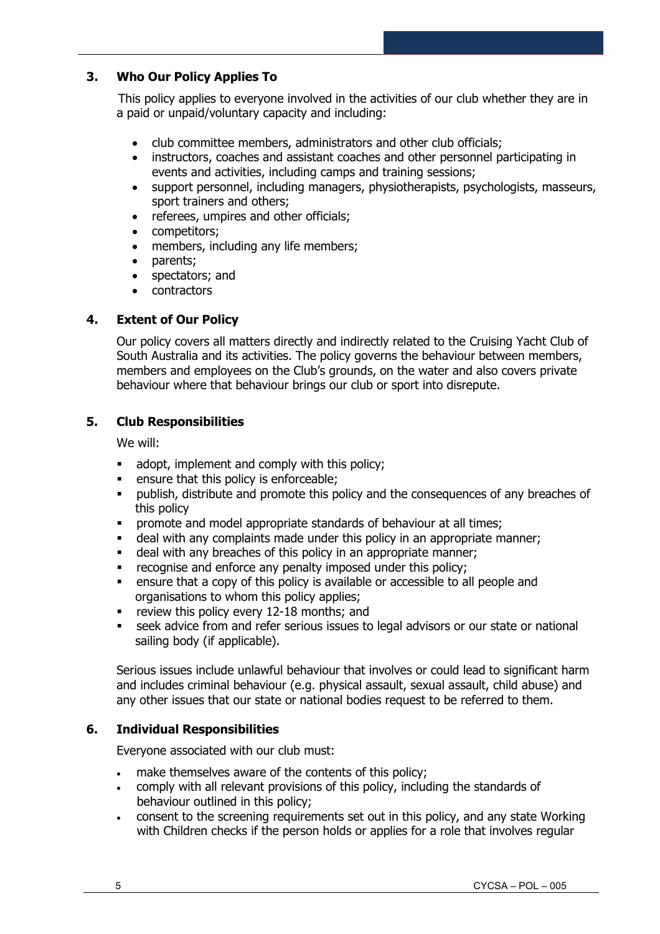## **3. Who Our Policy Applies To**

This policy applies to everyone involved in the activities of our club whether they are in a paid or unpaid/voluntary capacity and including:

- club committee members, administrators and other club officials;
- instructors, coaches and assistant coaches and other personnel participating in events and activities, including camps and training sessions;
- support personnel, including managers, physiotherapists, psychologists, masseurs, sport trainers and others;
- referees, umpires and other officials;
- competitors;
- members, including any life members;
- parents;
- spectators; and
- contractors

## **4. Extent of Our Policy**

Our policy covers all matters directly and indirectly related to the Cruising Yacht Club of South Australia and its activities. The policy governs the behaviour between members, members and employees on the Club's grounds, on the water and also covers private behaviour where that behaviour brings our club or sport into disrepute.

## **5. Club Responsibilities**

We will:

- adopt, implement and comply with this policy;
- ensure that this policy is enforceable;
- **•** publish, distribute and promote this policy and the consequences of any breaches of this policy
- **•** promote and model appropriate standards of behaviour at all times;
- deal with any complaints made under this policy in an appropriate manner;
- deal with any breaches of this policy in an appropriate manner;
- **•** recognise and enforce any penalty imposed under this policy;
- ensure that a copy of this policy is available or accessible to all people and organisations to whom this policy applies;
- **•** review this policy every 12-18 months; and
- **EXECTS** seek advice from and refer serious issues to legal advisors or our state or national sailing body (if applicable).

Serious issues include unlawful behaviour that involves or could lead to significant harm and includes criminal behaviour (e.g. physical assault, sexual assault, child abuse) and any other issues that our state or national bodies request to be referred to them.

## **6. Individual Responsibilities**

Everyone associated with our club must:

- make themselves aware of the contents of this policy;
- comply with all relevant provisions of this policy, including the standards of behaviour outlined in this policy;
- consent to the screening requirements set out in this policy, and any state Working with Children checks if the person holds or applies for a role that involves regular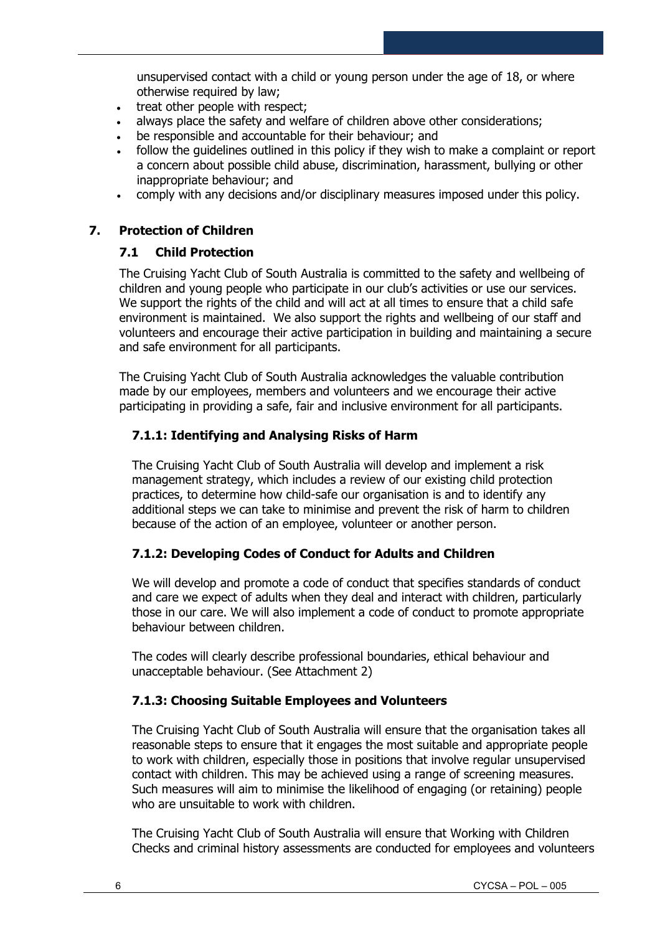unsupervised contact with a child or young person under the age of 18, or where otherwise required by law;

- treat other people with respect;
- always place the safety and welfare of children above other considerations;
- be responsible and accountable for their behaviour; and
- follow the guidelines outlined in this policy if they wish to make a complaint or report a concern about possible child abuse, discrimination, harassment, bullying or other inappropriate behaviour; and
- comply with any decisions and/or disciplinary measures imposed under this policy.

## **7. Protection of Children**

#### **7.1 Child Protection**

The Cruising Yacht Club of South Australia is committed to the safety and wellbeing of children and young people who participate in our club's activities or use our services. We support the rights of the child and will act at all times to ensure that a child safe environment is maintained. We also support the rights and wellbeing of our staff and volunteers and encourage their active participation in building and maintaining a secure and safe environment for all participants.

The Cruising Yacht Club of South Australia acknowledges the valuable contribution made by our employees, members and volunteers and we encourage their active participating in providing a safe, fair and inclusive environment for all participants.

## **7.1.1: Identifying and Analysing Risks of Harm**

The Cruising Yacht Club of South Australia will develop and implement a risk management strategy, which includes a review of our existing child protection practices, to determine how child-safe our organisation is and to identify any additional steps we can take to minimise and prevent the risk of harm to children because of the action of an employee, volunteer or another person.

## **7.1.2: Developing Codes of Conduct for Adults and Children**

We will develop and promote a code of conduct that specifies standards of conduct and care we expect of adults when they deal and interact with children, particularly those in our care. We will also implement a code of conduct to promote appropriate behaviour between children.

The codes will clearly describe professional boundaries, ethical behaviour and unacceptable behaviour. (See Attachment 2)

## **7.1.3: Choosing Suitable Employees and Volunteers**

The Cruising Yacht Club of South Australia will ensure that the organisation takes all reasonable steps to ensure that it engages the most suitable and appropriate people to work with children, especially those in positions that involve regular unsupervised contact with children. This may be achieved using a range of screening measures. Such measures will aim to minimise the likelihood of engaging (or retaining) people who are unsuitable to work with children.

The Cruising Yacht Club of South Australia will ensure that Working with Children Checks and criminal history assessments are conducted for employees and volunteers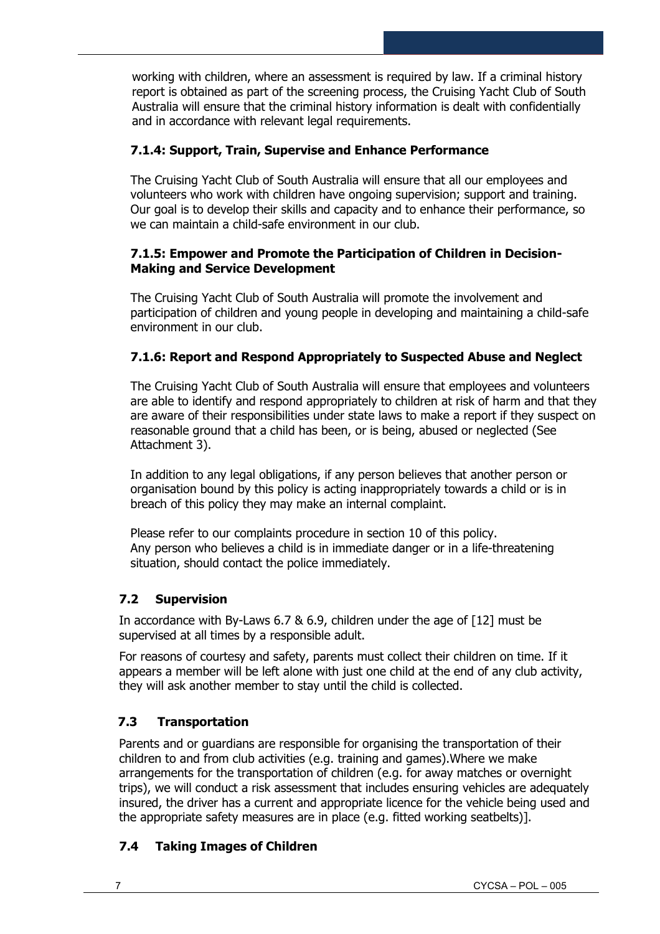working with children, where an assessment is required by law. If a criminal history report is obtained as part of the screening process, the Cruising Yacht Club of South Australia will ensure that the criminal history information is dealt with confidentially and in accordance with relevant legal requirements.

## **7.1.4: Support, Train, Supervise and Enhance Performance**

The Cruising Yacht Club of South Australia will ensure that all our employees and volunteers who work with children have ongoing supervision; support and training. Our goal is to develop their skills and capacity and to enhance their performance, so we can maintain a child-safe environment in our club.

#### **7.1.5: Empower and Promote the Participation of Children in Decision-Making and Service Development**

The Cruising Yacht Club of South Australia will promote the involvement and participation of children and young people in developing and maintaining a child-safe environment in our club.

## **7.1.6: Report and Respond Appropriately to Suspected Abuse and Neglect**

The Cruising Yacht Club of South Australia will ensure that employees and volunteers are able to identify and respond appropriately to children at risk of harm and that they are aware of their responsibilities under state laws to make a report if they suspect on reasonable ground that a child has been, or is being, abused or neglected (See Attachment 3).

In addition to any legal obligations, if any person believes that another person or organisation bound by this policy is acting inappropriately towards a child or is in breach of this policy they may make an internal complaint.

Please refer to our complaints procedure in section 10 of this policy. Any person who believes a child is in immediate danger or in a life-threatening situation, should contact the police immediately.

## **7.2 Supervision**

In accordance with By-Laws 6.7 & 6.9, children under the age of [12] must be supervised at all times by a responsible adult.

For reasons of courtesy and safety, parents must collect their children on time. If it appears a member will be left alone with just one child at the end of any club activity, they will ask another member to stay until the child is collected.

## **7.3 Transportation**

Parents and or guardians are responsible for organising the transportation of their children to and from club activities (e.g. training and games).Where we make arrangements for the transportation of children (e.g. for away matches or overnight trips), we will conduct a risk assessment that includes ensuring vehicles are adequately insured, the driver has a current and appropriate licence for the vehicle being used and the appropriate safety measures are in place (e.g. fitted working seatbelts)].

## **7.4 Taking Images of Children**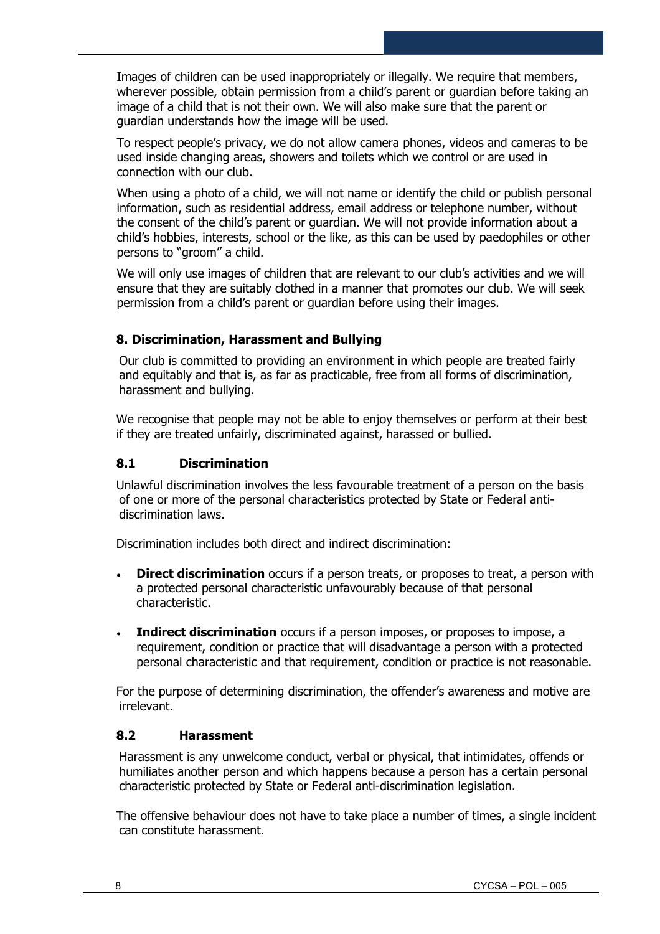Images of children can be used inappropriately or illegally. We require that members, wherever possible, obtain permission from a child's parent or guardian before taking an image of a child that is not their own. We will also make sure that the parent or guardian understands how the image will be used.

To respect people's privacy, we do not allow camera phones, videos and cameras to be used inside changing areas, showers and toilets which we control or are used in connection with our club.

When using a photo of a child, we will not name or identify the child or publish personal information, such as residential address, email address or telephone number, without the consent of the child's parent or guardian. We will not provide information about a child's hobbies, interests, school or the like, as this can be used by paedophiles or other persons to "groom" a child.

We will only use images of children that are relevant to our club's activities and we will ensure that they are suitably clothed in a manner that promotes our club. We will seek permission from a child's parent or guardian before using their images.

## **8. Discrimination, Harassment and Bullying**

Our club is committed to providing an environment in which people are treated fairly and equitably and that is, as far as practicable, free from all forms of discrimination, harassment and bullying.

We recognise that people may not be able to enjoy themselves or perform at their best if they are treated unfairly, discriminated against, harassed or bullied.

#### **8.1 Discrimination**

Unlawful discrimination involves the less favourable treatment of a person on the basis of one or more of the personal characteristics protected by State or Federal antidiscrimination laws.

Discrimination includes both direct and indirect discrimination:

- **Direct discrimination** occurs if a person treats, or proposes to treat, a person with a protected personal characteristic unfavourably because of that personal characteristic.
- **Indirect discrimination** occurs if a person imposes, or proposes to impose, a requirement, condition or practice that will disadvantage a person with a protected personal characteristic and that requirement, condition or practice is not reasonable.

For the purpose of determining discrimination, the offender's awareness and motive are irrelevant.

#### **8.2 Harassment**

Harassment is any unwelcome conduct, verbal or physical, that intimidates, offends or humiliates another person and which happens because a person has a certain personal characteristic protected by State or Federal anti-discrimination legislation.

The offensive behaviour does not have to take place a number of times, a single incident can constitute harassment.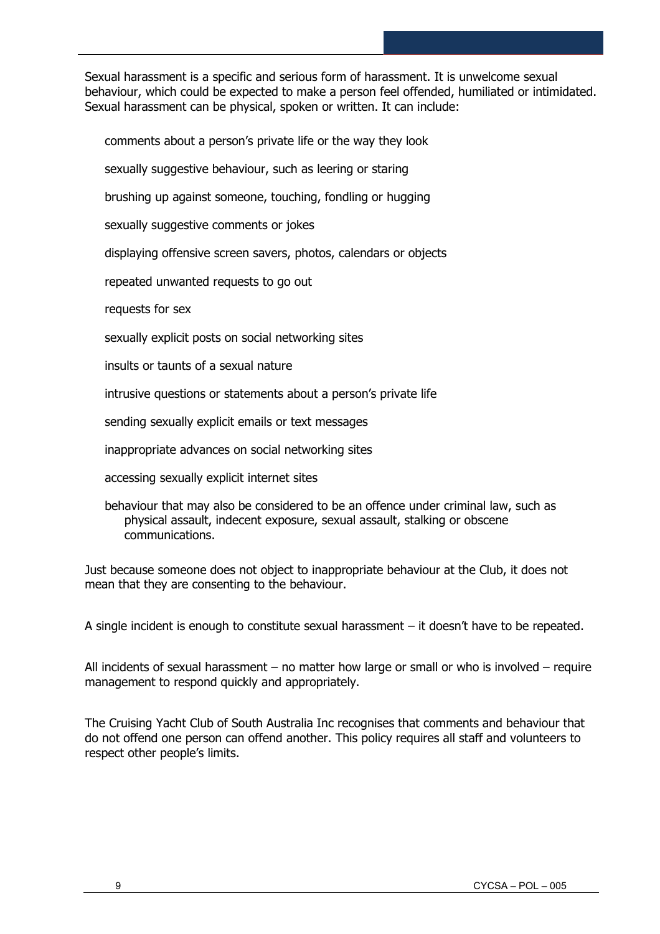Sexual harassment is a specific and serious form of harassment. It is unwelcome sexual behaviour, which could be expected to make a person feel offended, humiliated or intimidated. Sexual harassment can be physical, spoken or written. It can include:

comments about a person's private life or the way they look

sexually suggestive behaviour, such as leering or staring

brushing up against someone, touching, fondling or hugging

sexually suggestive comments or jokes

displaying offensive screen savers, photos, calendars or objects

repeated unwanted requests to go out

requests for sex

sexually explicit posts on social networking sites

insults or taunts of a sexual nature

intrusive questions or statements about a person's private life

sending sexually explicit emails or text messages

inappropriate advances on social networking sites

accessing sexually explicit internet sites

behaviour that may also be considered to be an offence under criminal law, such as physical assault, indecent exposure, sexual assault, stalking or obscene communications.

Just because someone does not object to inappropriate behaviour at the Club, it does not mean that they are consenting to the behaviour.

A single incident is enough to constitute sexual harassment – it doesn't have to be repeated.

All incidents of sexual harassment – no matter how large or small or who is involved – require management to respond quickly and appropriately.

The Cruising Yacht Club of South Australia Inc recognises that comments and behaviour that do not offend one person can offend another. This policy requires all staff and volunteers to respect other people's limits.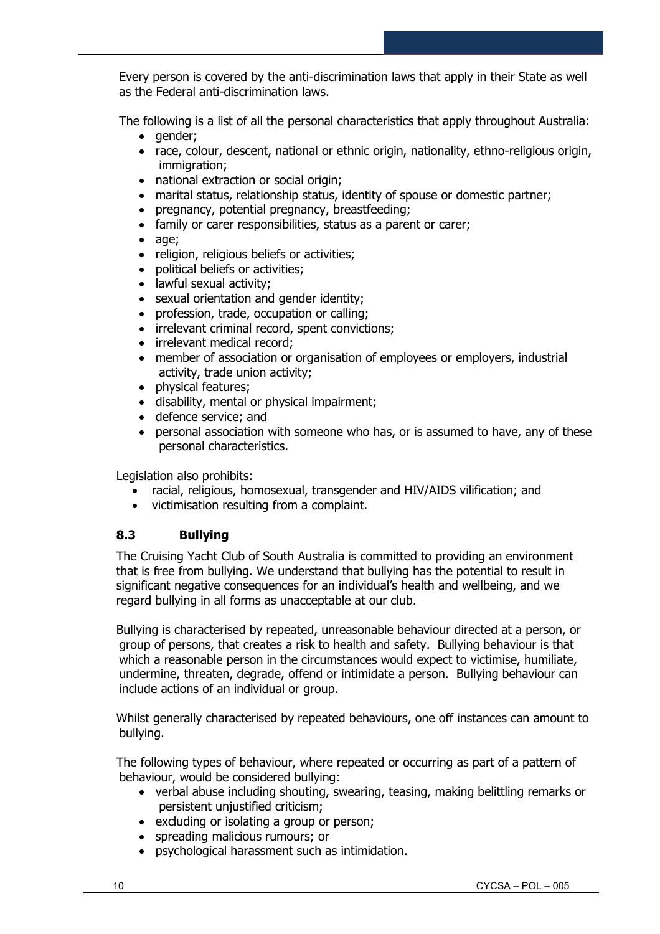Every person is covered by the anti-discrimination laws that apply in their State as well as the Federal anti-discrimination laws.

The following is a list of all the personal characteristics that apply throughout Australia:

- gender;
- race, colour, descent, national or ethnic origin, nationality, ethno-religious origin, immigration;
- national extraction or social origin;
- marital status, relationship status, identity of spouse or domestic partner;
- pregnancy, potential pregnancy, breastfeeding;
- family or carer responsibilities, status as a parent or carer;
- age;
- religion, religious beliefs or activities;
- political beliefs or activities;
- lawful sexual activity;
- sexual orientation and gender identity;
- profession, trade, occupation or calling;
- irrelevant criminal record, spent convictions;
- irrelevant medical record;
- member of association or organisation of employees or employers, industrial activity, trade union activity;
- physical features;
- disability, mental or physical impairment;
- defence service; and
- personal association with someone who has, or is assumed to have, any of these personal characteristics.

Legislation also prohibits:

- racial, religious, homosexual, transgender and HIV/AIDS vilification; and
- victimisation resulting from a complaint.

## **8.3 Bullying**

The Cruising Yacht Club of South Australia is committed to providing an environment that is free from bullying. We understand that bullying has the potential to result in significant negative consequences for an individual's health and wellbeing, and we regard bullying in all forms as unacceptable at our club.

Bullying is characterised by repeated, unreasonable behaviour directed at a person, or group of persons, that creates a risk to health and safety. Bullying behaviour is that which a reasonable person in the circumstances would expect to victimise, humiliate, undermine, threaten, degrade, offend or intimidate a person. Bullying behaviour can include actions of an individual or group.

Whilst generally characterised by repeated behaviours, one off instances can amount to bullying.

The following types of behaviour, where repeated or occurring as part of a pattern of behaviour, would be considered bullying:

- verbal abuse including shouting, swearing, teasing, making belittling remarks or persistent unjustified criticism;
- excluding or isolating a group or person;
- spreading malicious rumours; or
- psychological harassment such as intimidation.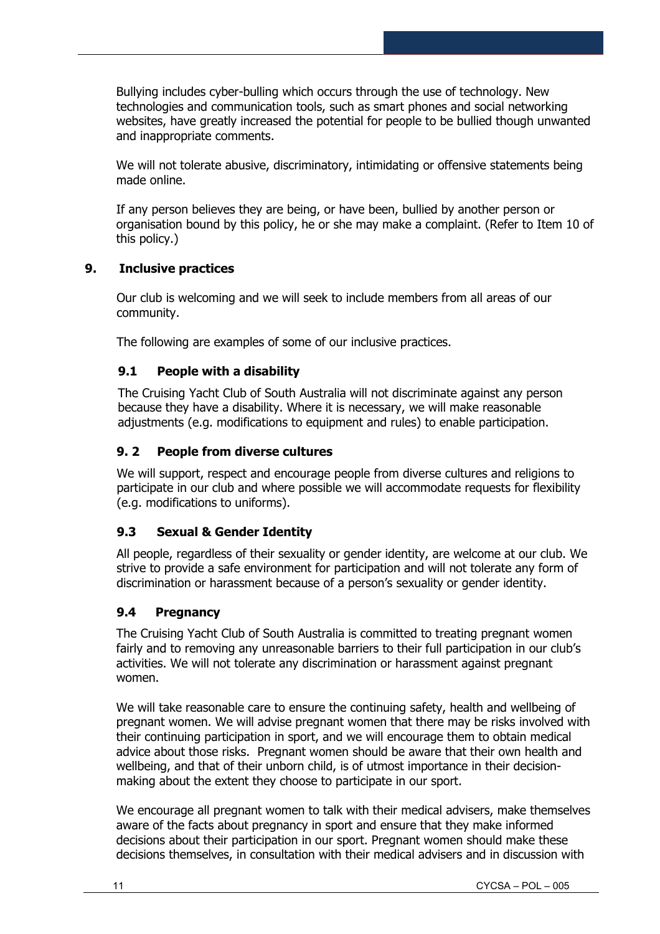Bullying includes cyber-bulling which occurs through the use of technology. New technologies and communication tools, such as smart phones and social networking websites, have greatly increased the potential for people to be bullied though unwanted and inappropriate comments.

We will not tolerate abusive, discriminatory, intimidating or offensive statements being made online.

If any person believes they are being, or have been, bullied by another person or organisation bound by this policy, he or she may make a complaint. (Refer to Item 10 of this policy.)

## **9. Inclusive practices**

Our club is welcoming and we will seek to include members from all areas of our community.

The following are examples of some of our inclusive practices.

## **9.1 People with a disability**

The Cruising Yacht Club of South Australia will not discriminate against any person because they have a disability. Where it is necessary, we will make reasonable adjustments (e.g. modifications to equipment and rules) to enable participation.

## **9. 2 People from diverse cultures**

We will support, respect and encourage people from diverse cultures and religions to participate in our club and where possible we will accommodate requests for flexibility (e.g. modifications to uniforms).

## **9.3 Sexual & Gender Identity**

All people, regardless of their sexuality or gender identity, are welcome at our club. We strive to provide a safe environment for participation and will not tolerate any form of discrimination or harassment because of a person's sexuality or gender identity.

## **9.4 Pregnancy**

The Cruising Yacht Club of South Australia is committed to treating pregnant women fairly and to removing any unreasonable barriers to their full participation in our club's activities. We will not tolerate any discrimination or harassment against pregnant women.

We will take reasonable care to ensure the continuing safety, health and wellbeing of pregnant women. We will advise pregnant women that there may be risks involved with their continuing participation in sport, and we will encourage them to obtain medical advice about those risks. Pregnant women should be aware that their own health and wellbeing, and that of their unborn child, is of utmost importance in their decisionmaking about the extent they choose to participate in our sport.

We encourage all pregnant women to talk with their medical advisers, make themselves aware of the facts about pregnancy in sport and ensure that they make informed decisions about their participation in our sport. Pregnant women should make these decisions themselves, in consultation with their medical advisers and in discussion with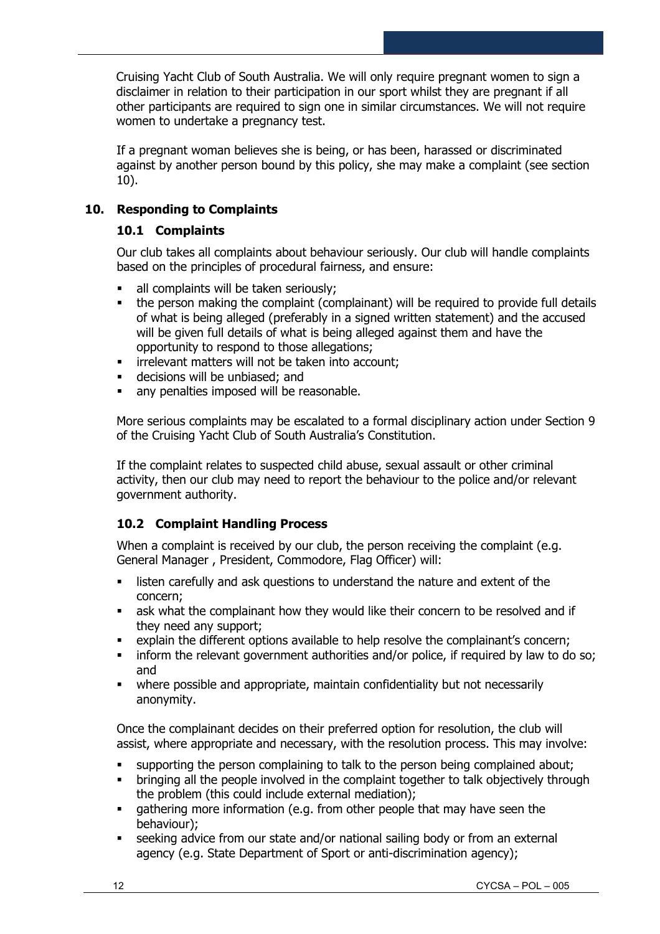Cruising Yacht Club of South Australia. We will only require pregnant women to sign a disclaimer in relation to their participation in our sport whilst they are pregnant if all other participants are required to sign one in similar circumstances. We will not require women to undertake a pregnancy test.

If a pregnant woman believes she is being, or has been, harassed or discriminated against by another person bound by this policy, she may make a complaint (see section 10).

## **10. Responding to Complaints**

## **10.1 Complaints**

Our club takes all complaints about behaviour seriously. Our club will handle complaints based on the principles of procedural fairness, and ensure:

- **E** all complaints will be taken seriously;
- the person making the complaint (complainant) will be required to provide full details of what is being alleged (preferably in a signed written statement) and the accused will be given full details of what is being alleged against them and have the opportunity to respond to those allegations;
- **·** irrelevant matters will not be taken into account;
- decisions will be unbiased; and
- **EXECT** any penalties imposed will be reasonable.

More serious complaints may be escalated to a formal disciplinary action under Section 9 of the Cruising Yacht Club of South Australia's Constitution.

If the complaint relates to suspected child abuse, sexual assault or other criminal activity, then our club may need to report the behaviour to the police and/or relevant government authority.

## **10.2 Complaint Handling Process**

When a complaint is received by our club, the person receiving the complaint (e.g. General Manager , President, Commodore, Flag Officer) will:

- **•** listen carefully and ask questions to understand the nature and extent of the concern;
- **EXECT** ask what the complainant how they would like their concern to be resolved and if they need any support;
- explain the different options available to help resolve the complainant's concern;
- **•** inform the relevant government authorities and/or police, if required by law to do so; and
- where possible and appropriate, maintain confidentiality but not necessarily anonymity.

Once the complainant decides on their preferred option for resolution, the club will assist, where appropriate and necessary, with the resolution process. This may involve:

- supporting the person complaining to talk to the person being complained about;
- bringing all the people involved in the complaint together to talk objectively through the problem (this could include external mediation);
- **•** gathering more information (e.g. from other people that may have seen the behaviour);
- **EXE** seeking advice from our state and/or national sailing body or from an external agency (e.g. State Department of Sport or anti-discrimination agency);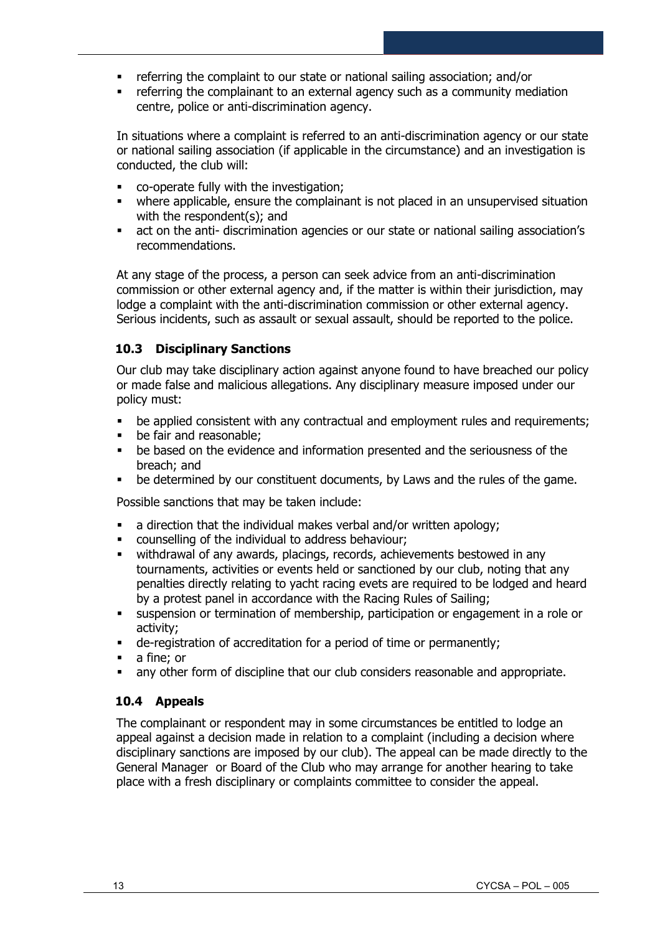- referring the complaint to our state or national sailing association; and/or
- **•** referring the complainant to an external agency such as a community mediation centre, police or anti-discrimination agency.

In situations where a complaint is referred to an anti-discrimination agency or our state or national sailing association (if applicable in the circumstance) and an investigation is conducted, the club will:

- co-operate fully with the investigation;
- where applicable, ensure the complainant is not placed in an unsupervised situation with the respondent(s); and
- act on the anti- discrimination agencies or our state or national sailing association's recommendations.

At any stage of the process, a person can seek advice from an anti-discrimination commission or other external agency and, if the matter is within their jurisdiction, may lodge a complaint with the anti-discrimination commission or other external agency. Serious incidents, such as assault or sexual assault, should be reported to the police.

## **10.3 Disciplinary Sanctions**

Our club may take disciplinary action against anyone found to have breached our policy or made false and malicious allegations. Any disciplinary measure imposed under our policy must:

- **•** be applied consistent with any contractual and employment rules and requirements;
- be fair and reasonable:
- be based on the evidence and information presented and the seriousness of the breach; and
- be determined by our constituent documents, by Laws and the rules of the game.

Possible sanctions that may be taken include:

- a direction that the individual makes verbal and/or written apology;
- counselling of the individual to address behaviour;
- withdrawal of any awards, placings, records, achievements bestowed in any tournaments, activities or events held or sanctioned by our club, noting that any penalties directly relating to yacht racing evets are required to be lodged and heard by a protest panel in accordance with the Racing Rules of Sailing;
- suspension or termination of membership, participation or engagement in a role or activity;
- de-registration of accreditation for a period of time or permanently;
- a fine; or
- any other form of discipline that our club considers reasonable and appropriate.

## **10.4 Appeals**

The complainant or respondent may in some circumstances be entitled to lodge an appeal against a decision made in relation to a complaint (including a decision where disciplinary sanctions are imposed by our club). The appeal can be made directly to the General Manager or Board of the Club who may arrange for another hearing to take place with a fresh disciplinary or complaints committee to consider the appeal.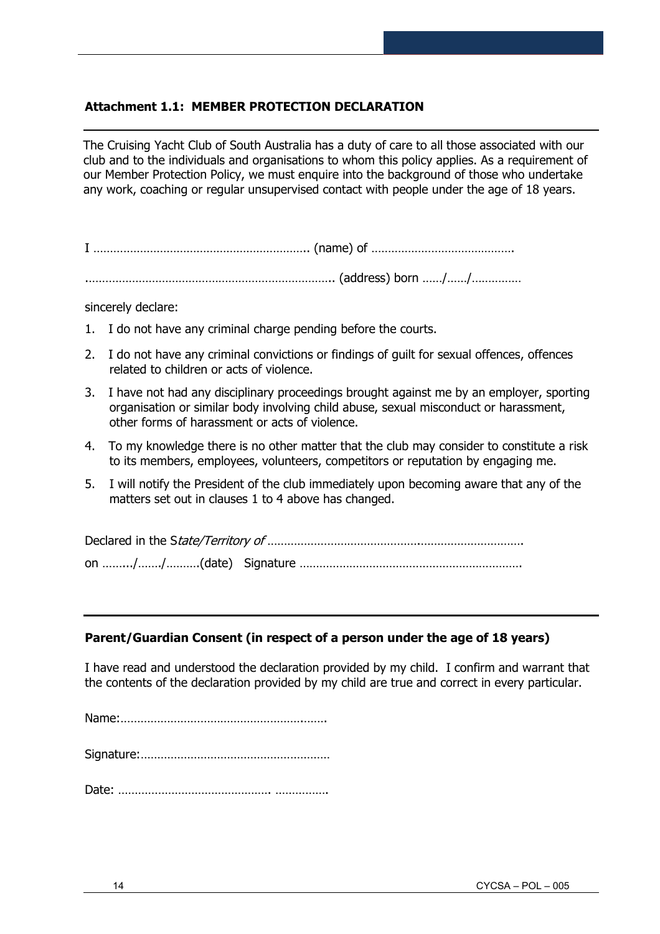## **Attachment 1.1: MEMBER PROTECTION DECLARATION**

The Cruising Yacht Club of South Australia has a duty of care to all those associated with our club and to the individuals and organisations to whom this policy applies. As a requirement of our Member Protection Policy, we must enquire into the background of those who undertake any work, coaching or regular unsupervised contact with people under the age of 18 years.

I ……………………………………………………….. (name) of …………………………………….

.……………………………………………………………….. (address) born ……/……/……………

sincerely declare:

- 1. I do not have any criminal charge pending before the courts.
- 2. I do not have any criminal convictions or findings of guilt for sexual offences, offences related to children or acts of violence.
- 3. I have not had any disciplinary proceedings brought against me by an employer, sporting organisation or similar body involving child abuse, sexual misconduct or harassment, other forms of harassment or acts of violence.
- 4. To my knowledge there is no other matter that the club may consider to constitute a risk to its members, employees, volunteers, competitors or reputation by engaging me.
- 5. I will notify the President of the club immediately upon becoming aware that any of the matters set out in clauses 1 to 4 above has changed.

Declared in the State/Territory of ……………………………………….…………………………. on …….../……./……….(date) Signature ………………………………………………………….

#### **Parent/Guardian Consent (in respect of a person under the age of 18 years)**

I have read and understood the declaration provided by my child. I confirm and warrant that the contents of the declaration provided by my child are true and correct in every particular.

Name:……………………………………………….…….

Signature:…………………………………………………

Date: ………………………………………. …………….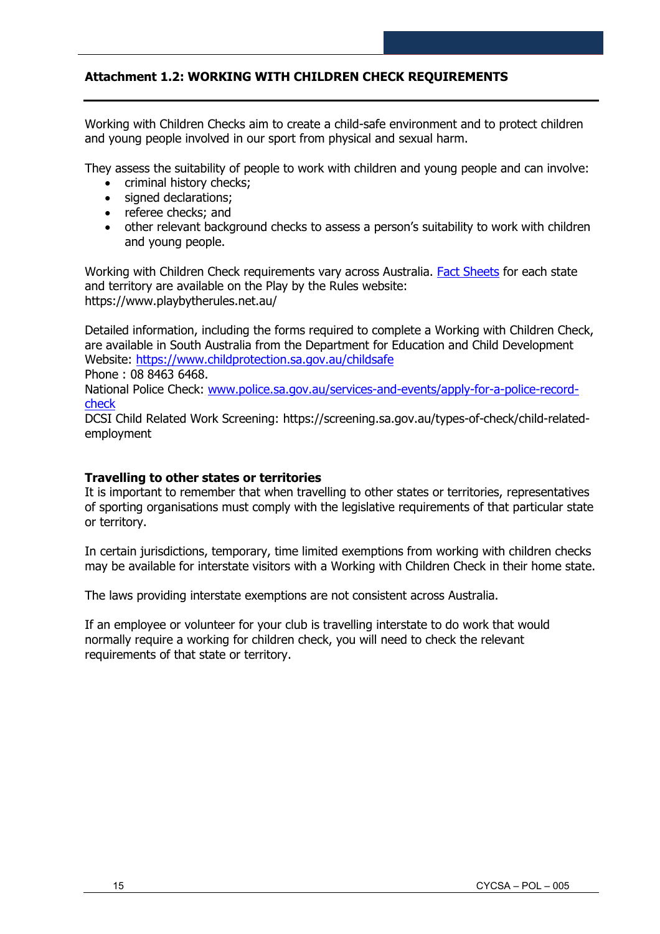## **Attachment 1.2: WORKING WITH CHILDREN CHECK REQUIREMENTS**

Working with Children Checks aim to create a child-safe environment and to protect children and young people involved in our sport from physical and sexual harm.

They assess the suitability of people to work with children and young people and can involve:

- criminal history checks;
- signed declarations;
- referee checks; and
- other relevant background checks to assess a person's suitability to work with children and young people.

Working with Children Check requirements vary across Australia. **Fact Sheets** for each state and territory are available on the Play by the Rules website: https://www.playbytherules.net.au/

Detailed information, including the forms required to complete a Working with Children Check, are available in South Australia from the Department for Education and Child Development Website:<https://www.childprotection.sa.gov.au/childsafe>

Phone : 08 8463 6468.

National Police Check: [www.police.sa.gov.au/services-and-events/apply-for-a-police-record](http://www.police.sa.gov.au/services-and-events/apply-for-a-police-record-check)[check](http://www.police.sa.gov.au/services-and-events/apply-for-a-police-record-check)

DCSI Child Related Work Screening: https://screening.sa.gov.au/types-of-check/child-relatedemployment

#### **Travelling to other states or territories**

It is important to remember that when travelling to other states or territories, representatives of sporting organisations must comply with the legislative requirements of that particular state or territory.

In certain jurisdictions, temporary, time limited exemptions from working with children checks may be available for interstate visitors with a Working with Children Check in their home state.

The laws providing interstate exemptions are not consistent across Australia.

If an employee or volunteer for your club is travelling interstate to do work that would normally require a working for children check, you will need to check the relevant requirements of that state or territory.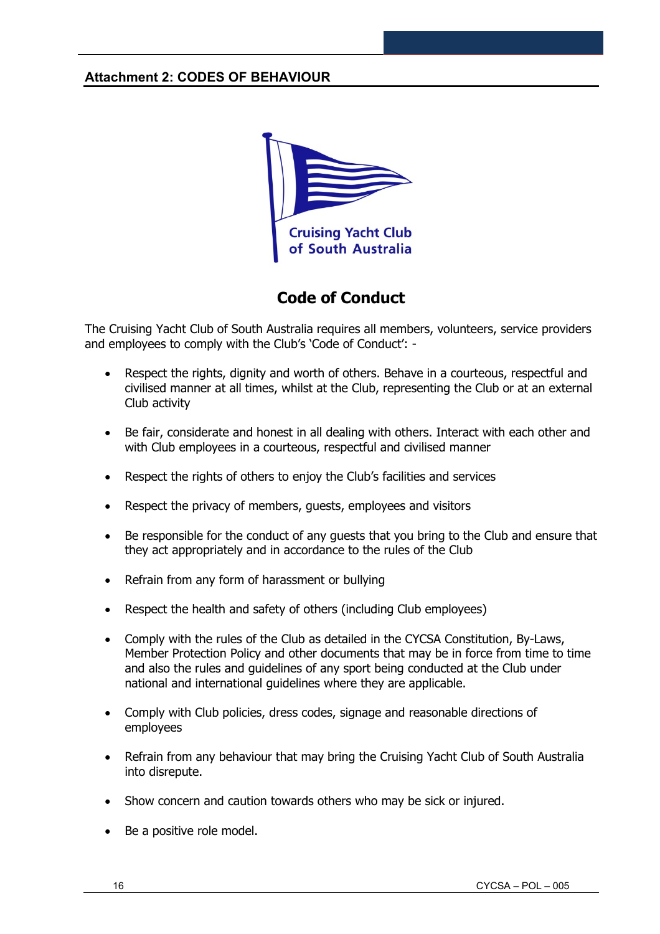## **Attachment 2: CODES OF BEHAVIOUR**



## **Code of Conduct**

The Cruising Yacht Club of South Australia requires all members, volunteers, service providers and employees to comply with the Club's 'Code of Conduct': -

- Respect the rights, dignity and worth of others. Behave in a courteous, respectful and civilised manner at all times, whilst at the Club, representing the Club or at an external Club activity
- Be fair, considerate and honest in all dealing with others. Interact with each other and with Club employees in a courteous, respectful and civilised manner
- Respect the rights of others to enjoy the Club's facilities and services
- Respect the privacy of members, quests, employees and visitors
- Be responsible for the conduct of any guests that you bring to the Club and ensure that they act appropriately and in accordance to the rules of the Club
- Refrain from any form of harassment or bullying
- Respect the health and safety of others (including Club employees)
- Comply with the rules of the Club as detailed in the CYCSA Constitution, By-Laws, Member Protection Policy and other documents that may be in force from time to time and also the rules and guidelines of any sport being conducted at the Club under national and international guidelines where they are applicable.
- Comply with Club policies, dress codes, signage and reasonable directions of employees
- Refrain from any behaviour that may bring the Cruising Yacht Club of South Australia into disrepute.
- Show concern and caution towards others who may be sick or injured.
- Be a positive role model.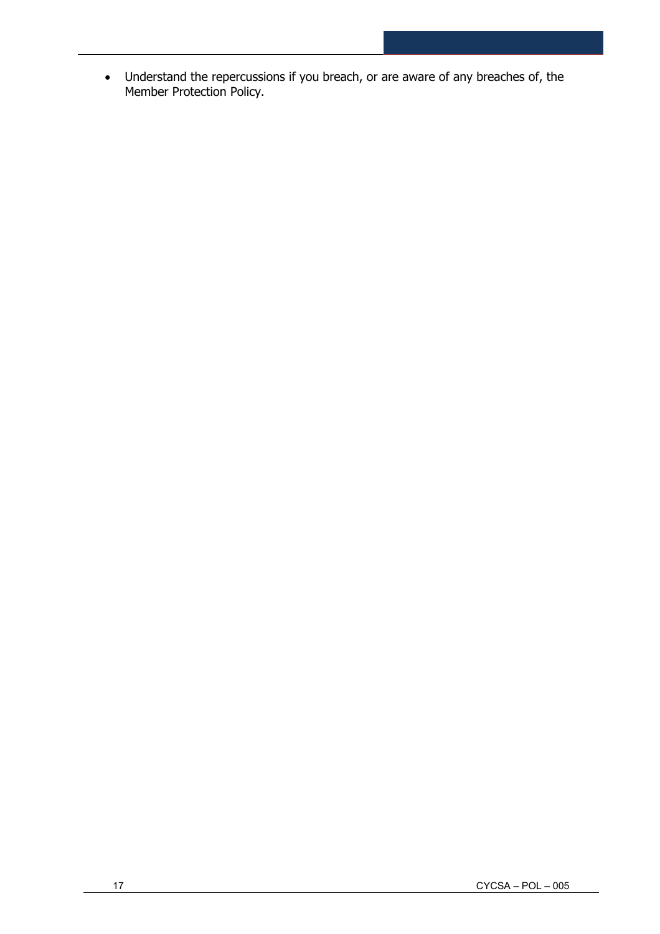• Understand the repercussions if you breach, or are aware of any breaches of, the Member Protection Policy.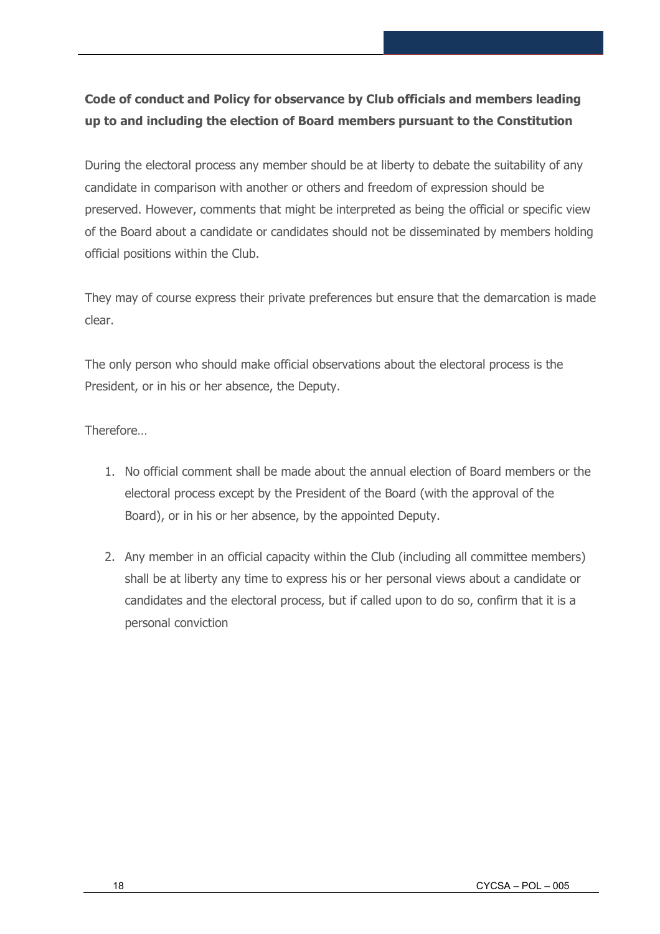## **Code of conduct and Policy for observance by Club officials and members leading up to and including the election of Board members pursuant to the Constitution**

During the electoral process any member should be at liberty to debate the suitability of any candidate in comparison with another or others and freedom of expression should be preserved. However, comments that might be interpreted as being the official or specific view of the Board about a candidate or candidates should not be disseminated by members holding official positions within the Club.

They may of course express their private preferences but ensure that the demarcation is made clear.

The only person who should make official observations about the electoral process is the President, or in his or her absence, the Deputy.

Therefore…

- 1. No official comment shall be made about the annual election of Board members or the electoral process except by the President of the Board (with the approval of the Board), or in his or her absence, by the appointed Deputy.
- 2. Any member in an official capacity within the Club (including all committee members) shall be at liberty any time to express his or her personal views about a candidate or candidates and the electoral process, but if called upon to do so, confirm that it is a personal conviction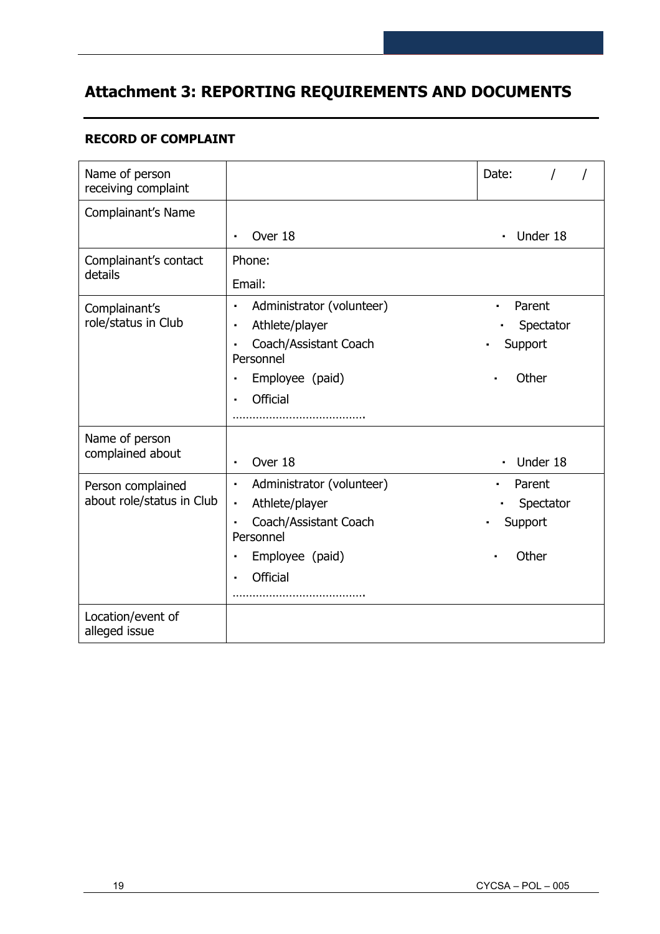# **Attachment 3: REPORTING REQUIREMENTS AND DOCUMENTS**

## **RECORD OF COMPLAINT**

| Name of person<br>receiving complaint |                                                      | Date:                      |
|---------------------------------------|------------------------------------------------------|----------------------------|
| Complainant's Name                    |                                                      |                            |
|                                       | Over 18<br>$\blacksquare$                            | Under 18<br>$\blacksquare$ |
| Complainant's contact                 | Phone:                                               |                            |
| details                               | Email:                                               |                            |
| Complainant's                         | Administrator (volunteer)<br>$\blacksquare$          | Parent<br>$\blacksquare$   |
| role/status in Club                   | Athlete/player<br>$\blacksquare$                     | Spectator                  |
|                                       | Coach/Assistant Coach<br>$\blacksquare$<br>Personnel | Support                    |
|                                       | Employee (paid)<br>$\blacksquare$                    | Other                      |
|                                       | <b>Official</b>                                      |                            |
|                                       |                                                      |                            |
| Name of person                        |                                                      |                            |
| complained about                      | Over 18<br>$\blacksquare$                            | Under 18<br>$\blacksquare$ |
| Person complained                     | Administrator (volunteer)<br>$\blacksquare$          | Parent                     |
| about role/status in Club             | Athlete/player<br>$\blacksquare$                     | Spectator                  |
|                                       | Coach/Assistant Coach<br>$\blacksquare$<br>Personnel | Support                    |
|                                       | Employee (paid)<br>$\blacksquare$                    | Other                      |
|                                       | <b>Official</b><br>$\blacksquare$                    |                            |
|                                       |                                                      |                            |
| Location/event of<br>alleged issue    |                                                      |                            |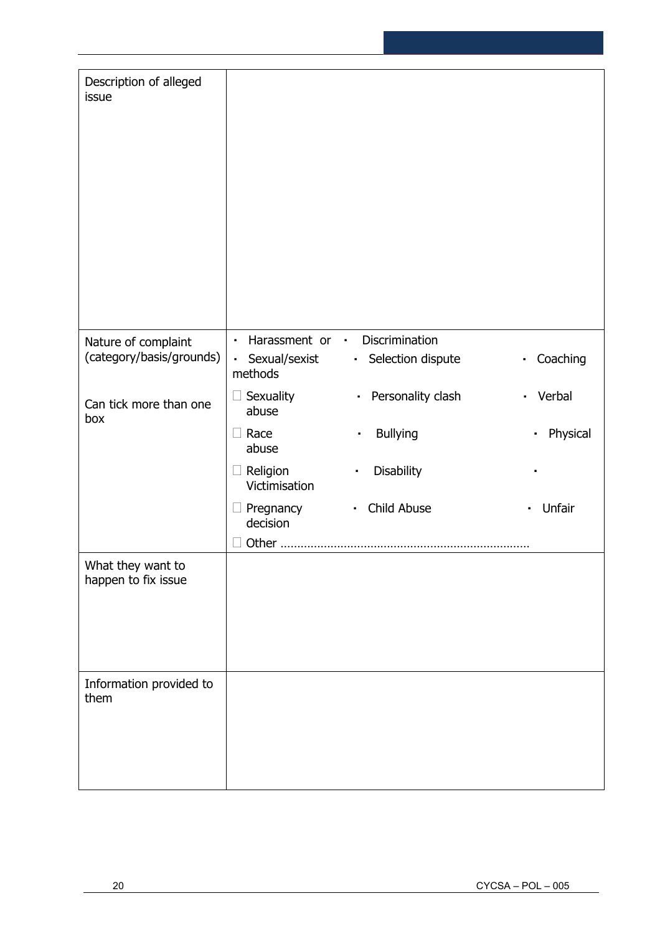| Description of alleged<br>issue          |                                     |                                     |                          |
|------------------------------------------|-------------------------------------|-------------------------------------|--------------------------|
| Nature of complaint                      | Harassment or ·<br>$\blacksquare$   | Discrimination                      |                          |
| (category/basis/grounds)                 | Sexual/sexist<br>methods            | Selection dispute                   | - Coaching               |
| Can tick more than one<br>box            | Sexuality<br>abuse                  | Personality clash<br>$\blacksquare$ | Verbal<br>$\blacksquare$ |
|                                          | Race<br>$\Box$<br>abuse             | <b>Bullying</b><br>٠                | Physical<br>×.           |
|                                          | Religion<br>$\Box$<br>Victimisation | Disability<br>$\blacksquare$        |                          |
|                                          | $\Box$ Pregnancy<br>decision        | • Child Abuse                       | Unfair                   |
|                                          |                                     |                                     |                          |
| What they want to<br>happen to fix issue |                                     |                                     |                          |
| Information provided to<br>them          |                                     |                                     |                          |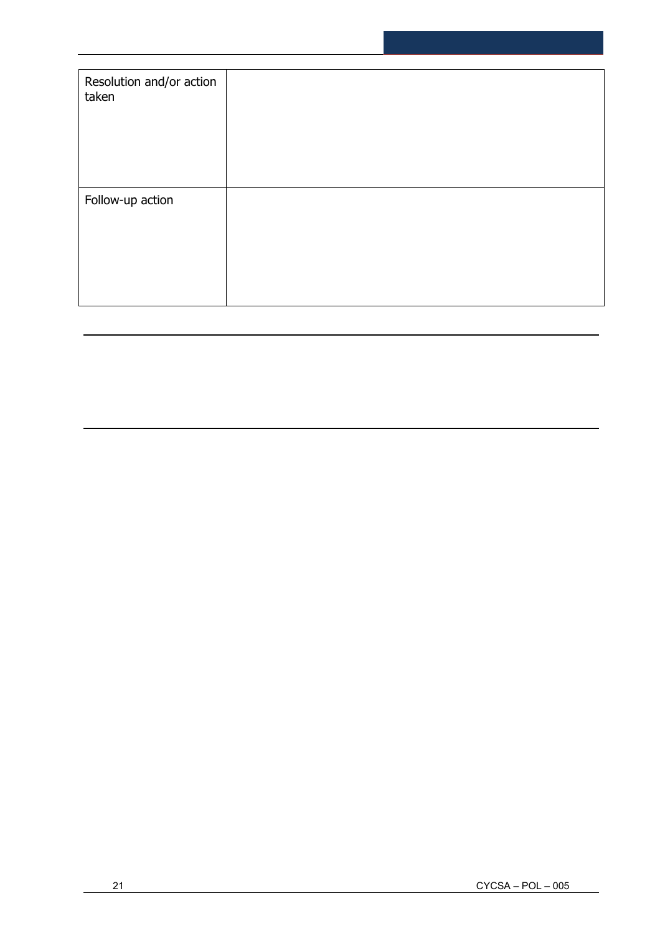| Resolution and/or action<br>taken |  |
|-----------------------------------|--|
| Follow-up action                  |  |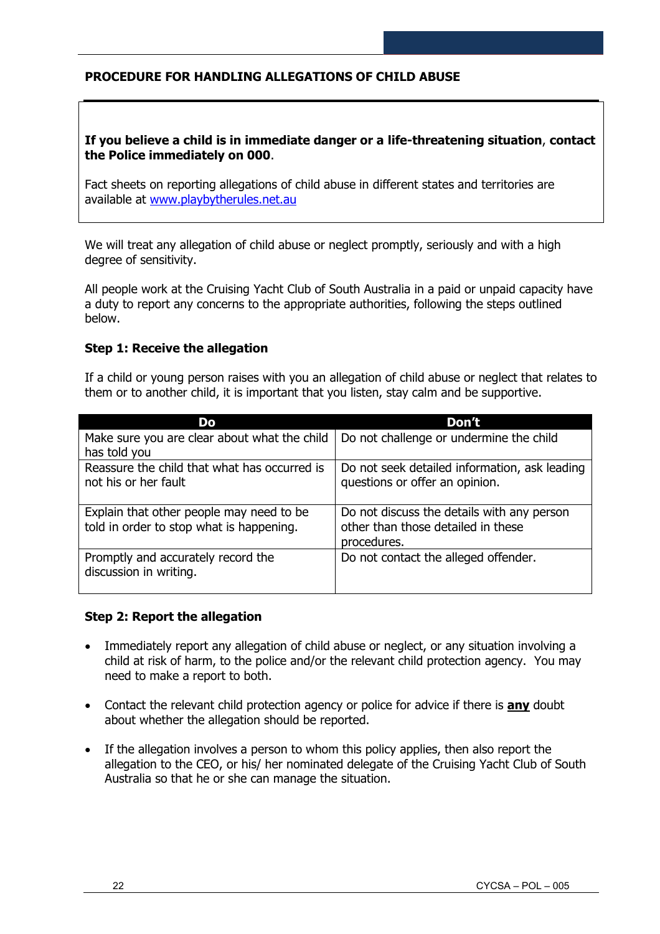## **PROCEDURE FOR HANDLING ALLEGATIONS OF CHILD ABUSE**

#### **If you believe a child is in immediate danger or a life-threatening situation**, **contact the Police immediately on 000**.

Fact sheets on reporting allegations of child abuse in different states and territories are available at [www.playbytherules.net.au](http://www.playbytherules.net.au/)

We will treat any allegation of child abuse or neglect promptly, seriously and with a high degree of sensitivity.

All people work at the Cruising Yacht Club of South Australia in a paid or unpaid capacity have a duty to report any concerns to the appropriate authorities, following the steps outlined below.

#### **Step 1: Receive the allegation**

If a child or young person raises with you an allegation of child abuse or neglect that relates to them or to another child, it is important that you listen, stay calm and be supportive.

| Do                                                                                    | Don't                                                                                           |
|---------------------------------------------------------------------------------------|-------------------------------------------------------------------------------------------------|
| Make sure you are clear about what the child<br>has told you                          | Do not challenge or undermine the child                                                         |
| Reassure the child that what has occurred is<br>not his or her fault                  | Do not seek detailed information, ask leading<br>questions or offer an opinion.                 |
| Explain that other people may need to be.<br>told in order to stop what is happening. | Do not discuss the details with any person<br>other than those detailed in these<br>procedures. |
| Promptly and accurately record the<br>discussion in writing.                          | Do not contact the alleged offender.                                                            |

#### **Step 2: Report the allegation**

- Immediately report any allegation of child abuse or neglect, or any situation involving a child at risk of harm, to the police and/or the relevant child protection agency. You may need to make a report to both.
- Contact the relevant child protection agency or police for advice if there is **any** doubt about whether the allegation should be reported.
- If the allegation involves a person to whom this policy applies, then also report the allegation to the CEO, or his/ her nominated delegate of the Cruising Yacht Club of South Australia so that he or she can manage the situation.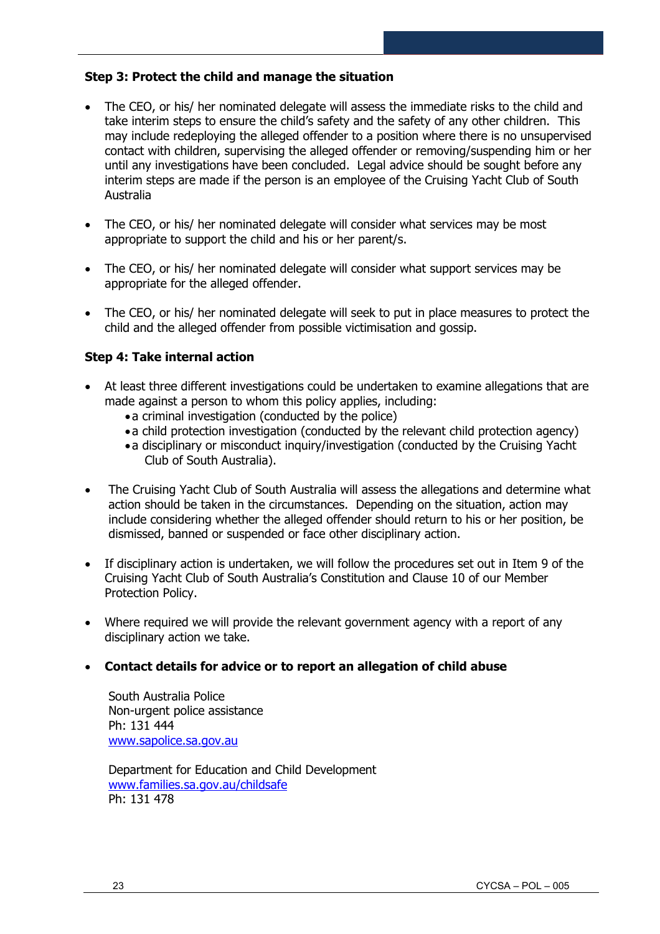#### **Step 3: Protect the child and manage the situation**

- The CEO, or his/ her nominated delegate will assess the immediate risks to the child and take interim steps to ensure the child's safety and the safety of any other children. This may include redeploying the alleged offender to a position where there is no unsupervised contact with children, supervising the alleged offender or removing/suspending him or her until any investigations have been concluded. Legal advice should be sought before any interim steps are made if the person is an employee of the Cruising Yacht Club of South Australia
- The CEO, or his/ her nominated delegate will consider what services may be most appropriate to support the child and his or her parent/s.
- The CEO, or his/ her nominated delegate will consider what support services may be appropriate for the alleged offender.
- The CEO, or his/ her nominated delegate will seek to put in place measures to protect the child and the alleged offender from possible victimisation and gossip.

#### **Step 4: Take internal action**

- At least three different investigations could be undertaken to examine allegations that are made against a person to whom this policy applies, including:
	- •a criminal investigation (conducted by the police)
	- •a child protection investigation (conducted by the relevant child protection agency)
	- •a disciplinary or misconduct inquiry/investigation (conducted by the Cruising Yacht Club of South Australia).
- The Cruising Yacht Club of South Australia will assess the allegations and determine what action should be taken in the circumstances. Depending on the situation, action may include considering whether the alleged offender should return to his or her position, be dismissed, banned or suspended or face other disciplinary action.
- If disciplinary action is undertaken, we will follow the procedures set out in Item 9 of the Cruising Yacht Club of South Australia's Constitution and Clause 10 of our Member Protection Policy.
- Where required we will provide the relevant government agency with a report of any disciplinary action we take.

#### • **Contact details for advice or to report an allegation of child abuse**

South Australia Police Non-urgent police assistance Ph: 131 444 [www.sapolice.sa.gov.au](http://www.sapolice.sa.gov.au/)

Department for Education and Child Development [www.families.sa.gov.au/childsafe](http://www.families.sa.gov.au/childsafe) Ph: 131 478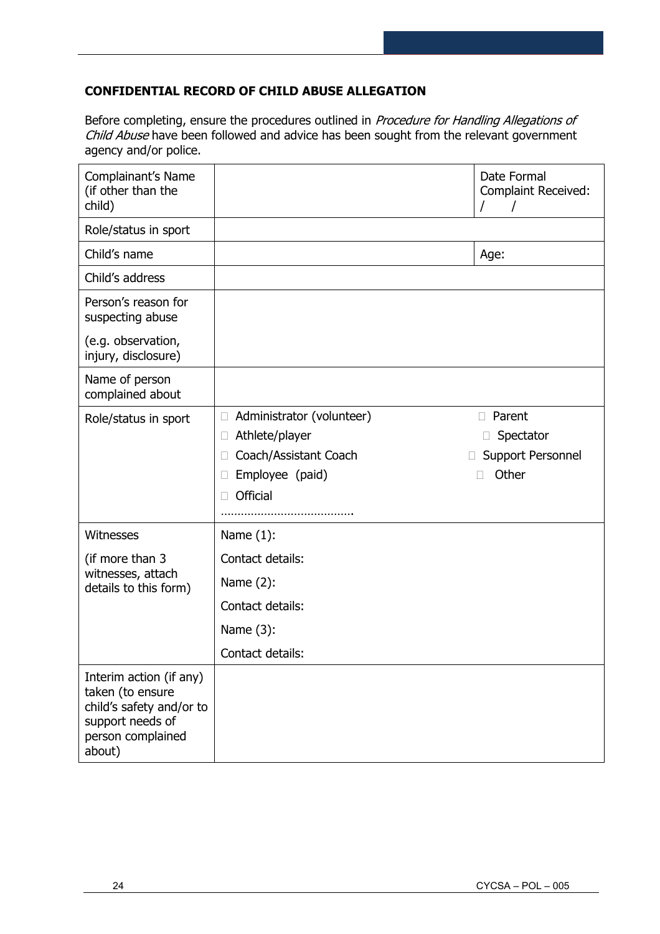## **CONFIDENTIAL RECORD OF CHILD ABUSE ALLEGATION**

Before completing, ensure the procedures outlined in Procedure for Handling Allegations of Child Abuse have been followed and advice has been sought from the relevant government agency and/or police.

| Complainant's Name<br>(if other than the<br>child)                                                                         |                                                                                                                                     | Date Formal<br><b>Complaint Received:</b>                     |
|----------------------------------------------------------------------------------------------------------------------------|-------------------------------------------------------------------------------------------------------------------------------------|---------------------------------------------------------------|
| Role/status in sport                                                                                                       |                                                                                                                                     |                                                               |
| Child's name                                                                                                               |                                                                                                                                     | Age:                                                          |
| Child's address                                                                                                            |                                                                                                                                     |                                                               |
| Person's reason for<br>suspecting abuse                                                                                    |                                                                                                                                     |                                                               |
| (e.g. observation,<br>injury, disclosure)                                                                                  |                                                                                                                                     |                                                               |
| Name of person<br>complained about                                                                                         |                                                                                                                                     |                                                               |
| Role/status in sport                                                                                                       | Administrator (volunteer)<br>$\Box$<br>Athlete/player<br>$\Box$<br>Coach/Assistant Coach<br>Employee (paid)<br><b>Official</b><br>П | Parent<br>П<br>$\Box$ Spectator<br>Support Personnel<br>Other |
| Witnesses                                                                                                                  | Name $(1)$ :                                                                                                                        |                                                               |
| (if more than 3                                                                                                            | Contact details:                                                                                                                    |                                                               |
| witnesses, attach<br>details to this form)                                                                                 | Name $(2)$ :                                                                                                                        |                                                               |
|                                                                                                                            | Contact details:                                                                                                                    |                                                               |
|                                                                                                                            | Name (3):                                                                                                                           |                                                               |
|                                                                                                                            | Contact details:                                                                                                                    |                                                               |
| Interim action (if any)<br>taken (to ensure<br>child's safety and/or to<br>support needs of<br>person complained<br>about) |                                                                                                                                     |                                                               |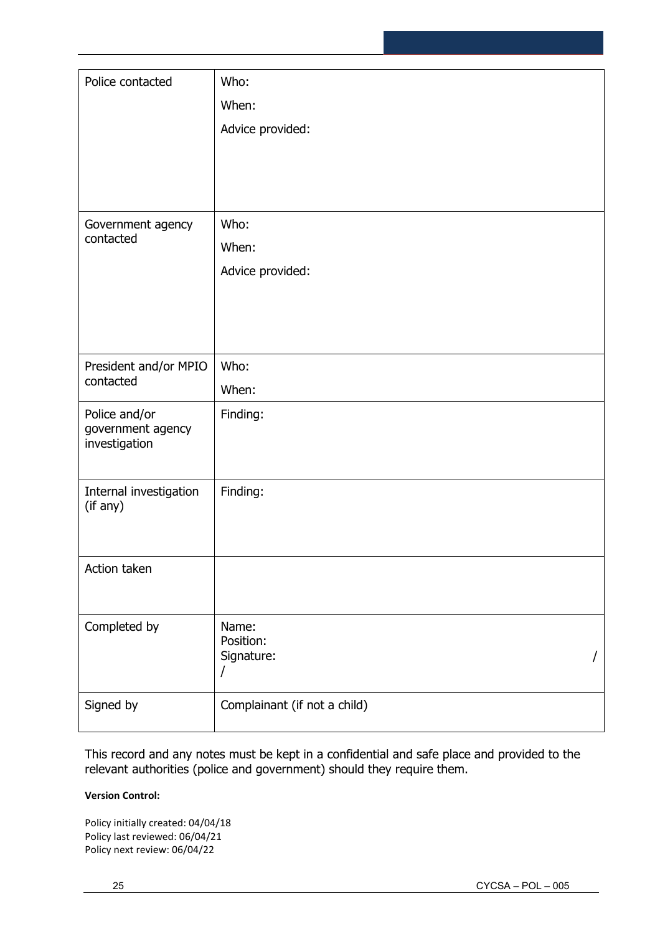| Police contacted                   | Who:                         |
|------------------------------------|------------------------------|
|                                    | When:                        |
|                                    | Advice provided:             |
|                                    |                              |
|                                    |                              |
|                                    |                              |
| Government agency                  | Who:                         |
| contacted                          | When:                        |
|                                    | Advice provided:             |
|                                    |                              |
|                                    |                              |
|                                    |                              |
| President and/or MPIO              | Who:                         |
| contacted                          | When:                        |
| Police and/or                      | Finding:                     |
| government agency<br>investigation |                              |
|                                    |                              |
| Internal investigation             | Finding:                     |
| (if any)                           |                              |
|                                    |                              |
| Action taken                       |                              |
|                                    |                              |
|                                    |                              |
| Completed by                       | Name:<br>Position:           |
|                                    | Signature:                   |
|                                    | $\overline{1}$               |
| Signed by                          | Complainant (if not a child) |
|                                    |                              |

This record and any notes must be kept in a confidential and safe place and provided to the relevant authorities (police and government) should they require them.

## **Version Control:**

Policy initially created: 04/04/18 Policy last reviewed: 06/04/21 Policy next review: 06/04/22